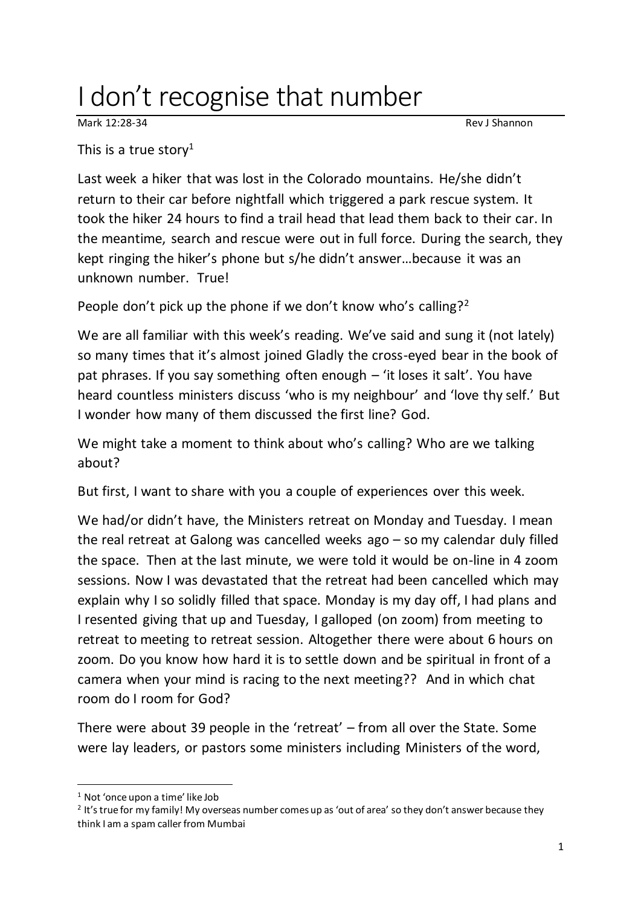## I don't recognise that number

Mark 12:28-34 Rev J Shannon

This is a true story<sup>1</sup>

Last week a hiker that was lost in the Colorado mountains. He/she didn't return to their car before nightfall which triggered a park rescue system. It took the hiker 24 hours to find a trail head that lead them back to their car. In the meantime, search and rescue were out in full force. During the search, they kept ringing the hiker's phone but s/he didn't answer…because it was an unknown number. True!

People don't pick up the phone if we don't know who's calling?<sup>2</sup>

We are all familiar with this week's reading. We've said and sung it (not lately) so many times that it's almost joined Gladly the cross-eyed bear in the book of pat phrases. If you say something often enough – 'it loses it salt'. You have heard countless ministers discuss 'who is my neighbour' and 'love thy self.' But I wonder how many of them discussed the first line? God.

We might take a moment to think about who's calling? Who are we talking about?

But first, I want to share with you a couple of experiences over this week.

We had/or didn't have, the Ministers retreat on Monday and Tuesday. I mean the real retreat at Galong was cancelled weeks ago – so my calendar duly filled the space. Then at the last minute, we were told it would be on-line in 4 zoom sessions. Now I was devastated that the retreat had been cancelled which may explain why I so solidly filled that space. Monday is my day off, I had plans and I resented giving that up and Tuesday, I galloped (on zoom) from meeting to retreat to meeting to retreat session. Altogether there were about 6 hours on zoom. Do you know how hard it is to settle down and be spiritual in front of a camera when your mind is racing to the next meeting?? And in which chat room do I room for God?

There were about 39 people in the 'retreat' – from all over the State. Some were lay leaders, or pastors some ministers including Ministers of the word,

<sup>1</sup> Not 'once upon a time' like Job

<sup>&</sup>lt;sup>2</sup> It's true for my family! My overseas number comes up as 'out of area' so they don't answer because they think I am a spam caller from Mumbai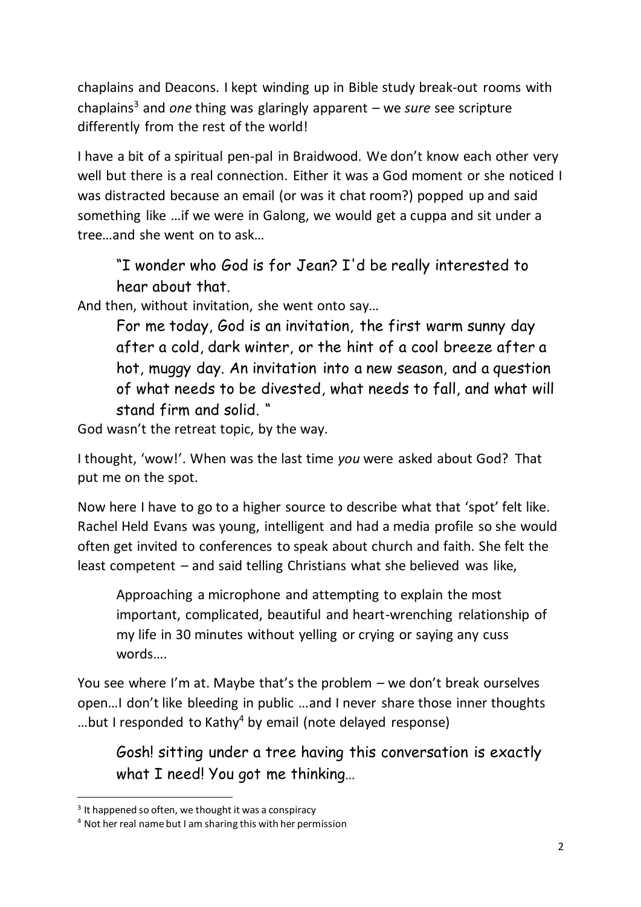chaplains and Deacons. I kept winding up in Bible study break-out rooms with chaplains<sup>3</sup> and *one* thing was glaringly apparent – we *sure* see scripture differently from the rest of the world!

I have a bit of a spiritual pen-pal in Braidwood. We don't know each other very well but there is a real connection. Either it was a God moment or she noticed I was distracted because an email (or was it chat room?) popped up and said something like …if we were in Galong, we would get a cuppa and sit under a tree…and she went on to ask…

"I wonder who God is for Jean? I'd be really interested to hear about that.

And then, without invitation, she went onto say…

For me today, God is an invitation, the first warm sunny day after a cold, dark winter, or the hint of a cool breeze after a hot, muggy day. An invitation into a new season, and a question of what needs to be divested, what needs to fall, and what will stand firm and solid. "

God wasn't the retreat topic, by the way.

I thought, 'wow!'. When was the last time *you* were asked about God? That put me on the spot.

Now here I have to go to a higher source to describe what that 'spot' felt like. Rachel Held Evans was young, intelligent and had a media profile so she would often get invited to conferences to speak about church and faith. She felt the least competent – and said telling Christians what she believed was like,

Approaching a microphone and attempting to explain the most important, complicated, beautiful and heart-wrenching relationship of my life in 30 minutes without yelling or crying or saying any cuss words….

You see where I'm at. Maybe that's the problem – we don't break ourselves open…I don't like bleeding in public …and I never share those inner thoughts ...but I responded to Kathy<sup>4</sup> by email (note delayed response)

Gosh! sitting under a tree having this conversation is exactly what I need! You got me thinking…

<sup>&</sup>lt;sup>3</sup> It happened so often, we thought it was a conspiracy

<sup>4</sup> Not her real name but I am sharing this with her permission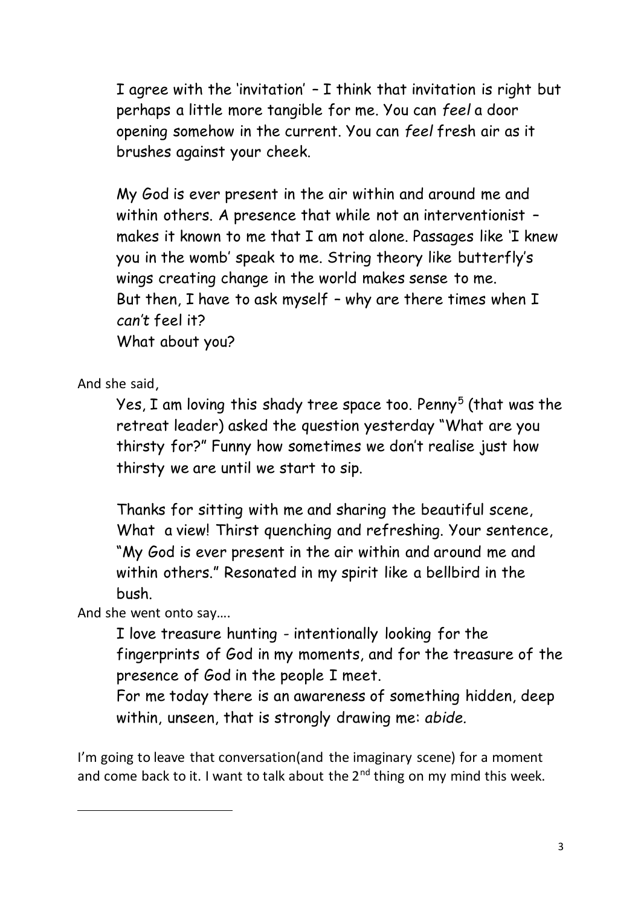I agree with the 'invitation' – I think that invitation is right but perhaps a little more tangible for me. You can *feel* a door opening somehow in the current. You can *feel* fresh air as it brushes against your cheek.

My God is ever present in the air within and around me and within others. A presence that while not an interventionist – makes it known to me that I am not alone. Passages like 'I knew you in the womb' speak to me. String theory like butterfly's wings creating change in the world makes sense to me. But then, I have to ask myself – why are there times when I *can't* feel it? What about you?

And she said,

Yes, I am loving this shady tree space too. Penny $^5$  (that was the retreat leader) asked the question yesterday "What are you thirsty for?" Funny how sometimes we don't realise just how thirsty we are until we start to sip.

Thanks for sitting with me and sharing the beautiful scene, What a view! Thirst quenching and refreshing. Your sentence, "My God is ever present in the air within and around me and within others." Resonated in my spirit like a bellbird in the bush.

And she went onto say….

I love treasure hunting - intentionally looking for the fingerprints of God in my moments, and for the treasure of the presence of God in the people I meet.

For me today there is an awareness of something hidden, deep within, unseen, that is strongly drawing me: *abide.*

I'm going to leave that conversation(and the imaginary scene) for a moment and come back to it. I want to talk about the  $2^{nd}$  thing on my mind this week.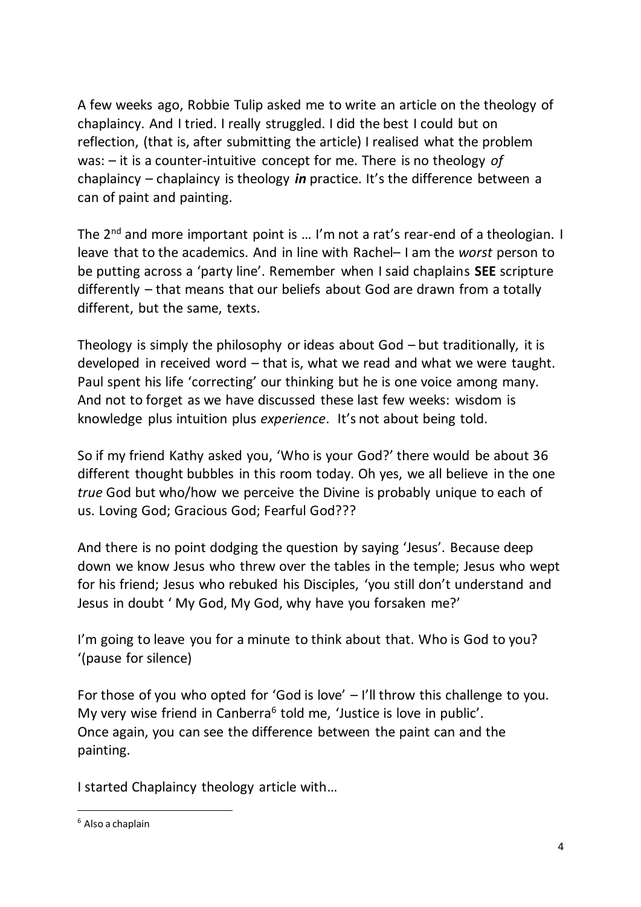A few weeks ago, Robbie Tulip asked me to write an article on the theology of chaplaincy. And I tried. I really struggled. I did the best I could but on reflection, (that is, after submitting the article) I realised what the problem was: – it is a counter-intuitive concept for me. There is no theology *of* chaplaincy – chaplaincy is theology *in* practice. It's the difference between a can of paint and painting.

The 2<sup>nd</sup> and more important point is ... I'm not a rat's rear-end of a theologian. I leave that to the academics. And in line with Rachel– I am the *worst* person to be putting across a 'party line'. Remember when I said chaplains **SEE** scripture differently – that means that our beliefs about God are drawn from a totally different, but the same, texts.

Theology is simply the philosophy or ideas about God – but traditionally, it is developed in received word – that is, what we read and what we were taught. Paul spent his life 'correcting' our thinking but he is one voice among many. And not to forget as we have discussed these last few weeks: wisdom is knowledge plus intuition plus *experience*. It's not about being told.

So if my friend Kathy asked you, 'Who is your God?' there would be about 36 different thought bubbles in this room today. Oh yes, we all believe in the one *true* God but who/how we perceive the Divine is probably unique to each of us. Loving God; Gracious God; Fearful God???

And there is no point dodging the question by saying 'Jesus'. Because deep down we know Jesus who threw over the tables in the temple; Jesus who wept for his friend; Jesus who rebuked his Disciples, 'you still don't understand and Jesus in doubt ' My God, My God, why have you forsaken me?'

I'm going to leave you for a minute to think about that. Who is God to you? '(pause for silence)

For those of you who opted for 'God is love' – I'll throw this challenge to you. My very wise friend in Canberra<sup>6</sup> told me, 'Justice is love in public'. Once again, you can see the difference between the paint can and the painting.

I started Chaplaincy theology article with…

 $6$  Also a chaplain